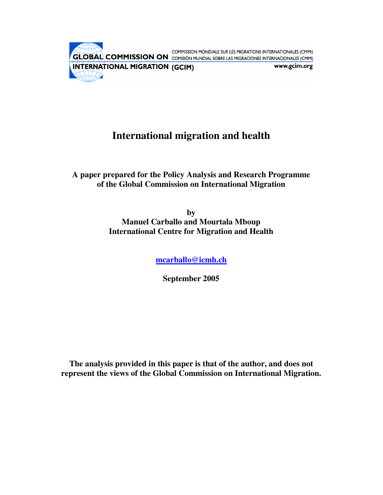COMMISSION MONDIALE SUR LES MIGRATIONS INTERNATIONALES (CMMI) INTERNATIONAL MIGRATION (GCIM) www.gcim.org  $\bigoplus\bigoplus$ 

# **International migration and health**

**A paper prepared for the Policy Analysis and Research Programme of the Global Commission on International Migration**

> **by Manuel Carballo and Mourtala Mboup International Centre for Migration and Health**

> > **mcarballo@icmh.ch**

**September 2005**

**The analysis provided in this paper is that of the author, and does not represent the views of the Global Commission on International Migration.**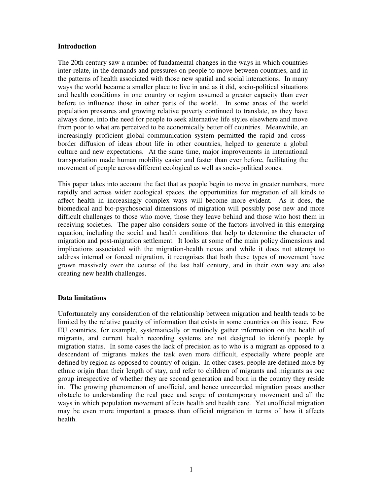#### **Introduction**

The 20th century saw a number of fundamental changes in the ways in which countries inter-relate, in the demands and pressures on people to move between countries, and in the patterns of health associated with those new spatial and social interactions. In many ways the world became a smaller place to live in and as it did, socio-political situations and health conditions in one country or region assumed a greater capacity than ever before to influence those in other parts of the world. In some areas of the world population pressures and growing relative poverty continued to translate, as they have always done, into the need for people to seek alternative life styles elsewhere and move from poor to what are perceived to be economically better off countries. Meanwhile, an increasingly proficient global communication system permitted the rapid and crossborder diffusion of ideas about life in other countries, helped to generate a global culture and new expectations. At the same time, major improvements in international transportation made human mobility easier and faster than ever before, facilitating the movement of people across different ecological as well as socio-political zones.

This paper takes into account the fact that as people begin to move in greater numbers, more rapidly and across wider ecological spaces, the opportunities for migration of all kinds to affect health in increasingly complex ways will become more evident. As it does, the biomedical and bio-psychosocial dimensions of migration will possibly pose new and more difficult challenges to those who move, those they leave behind and those who host them in receiving societies. The paper also considers some of the factors involved in this emerging equation, including the social and health conditions that help to determine the character of migration and post-migration settlement. It looks at some of the main policy dimensions and implications associated with the migration-health nexus and while it does not attempt to address internal or forced migration, it recognises that both these types of movement have grown massively over the course of the last half century, and in their own way are also creating new health challenges.

# **Data limitations**

Unfortunately any consideration of the relationship between migration and health tends to be limited by the relative paucity of information that exists in some countries on this issue. Few EU countries, for example, systematically or routinely gather information on the health of migrants, and current health recording systems are not designed to identify people by migration status. In some cases the lack of precision as to who is a migrant as opposed to a descendent of migrants makes the task even more difficult, especially where people are defined by region as opposed to country of origin. In other cases, people are defined more by ethnic origin than their length of stay, and refer to children of migrants and migrants as one group irrespective of whether they are second generation and born in the country they reside in. The growing phenomenon of unofficial, and hence unrecorded migration poses another obstacle to understanding the real pace and scope of contemporary movement and all the ways in which population movement affects health and health care. Yet unofficial migration may be even more important a process than official migration in terms of how it affects health.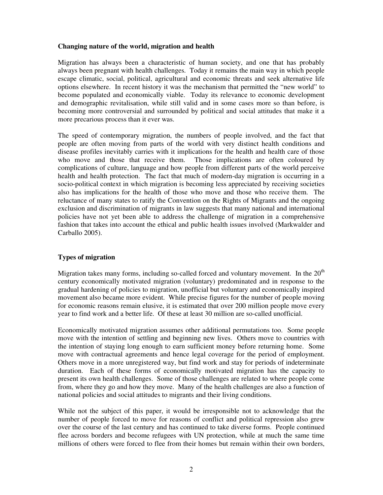# **Changing nature of the world, migration and health**

Migration has always been a characteristic of human society, and one that has probably always been pregnant with health challenges. Today it remains the main way in which people escape climatic, social, political, agricultural and economic threats and seek alternative life options elsewhere. In recent history it was the mechanism that permitted the "new world" to become populated and economically viable. Today its relevance to economic development and demographic revitalisation, while still valid and in some cases more so than before, is becoming more controversial and surrounded by political and social attitudes that make it a more precarious process than it ever was.

The speed of contemporary migration, the numbers of people involved, and the fact that people are often moving from parts of the world with very distinct health conditions and disease profiles inevitably carries with it implications for the health and health care of those who move and those that receive them. Those implications are often coloured by complications of culture, language and how people from different parts of the world perceive health and health protection. The fact that much of modern-day migration is occurring in a socio-political context in which migration is becoming less appreciated by receiving societies also has implications for the health of those who move and those who receive them. The reluctance of many states to ratify the Convention on the Rights of Migrants and the ongoing exclusion and discrimination of migrants in law suggests that many national and international policies have not yet been able to address the challenge of migration in a comprehensive fashion that takes into account the ethical and public health issues involved (Markwalder and Carballo 2005).

# **Types of migration**

Migration takes many forms, including so-called forced and voluntary movement. In the  $20<sup>th</sup>$ century economically motivated migration (voluntary) predominated and in response to the gradual hardening of policies to migration, unofficial but voluntary and economically inspired movement also became more evident. While precise figures for the number of people moving for economic reasons remain elusive, it is estimated that over 200 million people move every year to find work and a better life. Of these at least 30 million are so-called unofficial.

Economically motivated migration assumes other additional permutations too. Some people move with the intention of settling and beginning new lives. Others move to countries with the intention of staying long enough to earn sufficient money before returning home. Some move with contractual agreements and hence legal coverage for the period of employment. Others move in a more unregistered way, but find work and stay for periods of indeterminate duration. Each of these forms of economically motivated migration has the capacity to present its own health challenges. Some of those challenges are related to where people come from, where they go and how they move. Many of the health challenges are also a function of national policies and social attitudes to migrants and their living conditions.

While not the subject of this paper, it would be irresponsible not to acknowledge that the number of people forced to move for reasons of conflict and political repression also grew over the course of the last century and has continued to take diverse forms. People continued flee across borders and become refugees with UN protection, while at much the same time millions of others were forced to flee from their homes but remain within their own borders,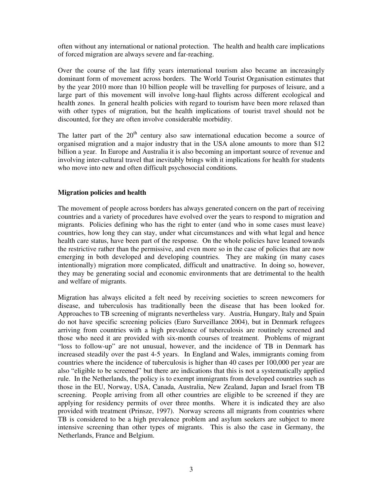often without any international or national protection. The health and health care implications of forced migration are always severe and far-reaching.

Over the course of the last fifty years international tourism also became an increasingly dominant form of movement across borders. The World Tourist Organisation estimates that by the year 2010 more than 10 billion people will be travelling for purposes of leisure, and a large part of this movement will involve long-haul flights across different ecological and health zones. In general health policies with regard to tourism have been more relaxed than with other types of migration, but the health implications of tourist travel should not be discounted, for they are often involve considerable morbidity.

The latter part of the  $20<sup>th</sup>$  century also saw international education become a source of organised migration and a major industry that in the USA alone amounts to more than \$12 billion a year. In Europe and Australia it is also becoming an important source of revenue and involving inter-cultural travel that inevitably brings with it implications for health for students who move into new and often difficult psychosocial conditions.

# **Migration policies and health**

The movement of people across borders has always generated concern on the part of receiving countries and a variety of procedures have evolved over the years to respond to migration and migrants. Policies defining who has the right to enter (and who in some cases must leave) countries, how long they can stay, under what circumstances and with what legal and hence health care status, have been part of the response. On the whole policies have leaned towards the restrictive rather than the permissive, and even more so in the case of policies that are now emerging in both developed and developing countries. They are making (in many cases intentionally) migration more complicated, difficult and unattractive. In doing so, however, they may be generating social and economic environments that are detrimental to the health and welfare of migrants.

Migration has always elicited a felt need by receiving societies to screen newcomers for disease, and tuberculosis has traditionally been the disease that has been looked for. Approaches to TB screening of migrants nevertheless vary. Austria, Hungary, Italy and Spain do not have specific screening policies (Euro Surveillance 2004), but in Denmark refugees arriving from countries with a high prevalence of tuberculosis are routinely screened and those who need it are provided with six-month courses of treatment. Problems of migrant "loss to follow-up" are not unusual, however, and the incidence of TB in Denmark has increased steadily over the past 4-5 years. In England and Wales, immigrants coming from countries where the incidence of tuberculosis is higher than 40 cases per 100,000 per year are also "eligible to be screened" but there are indications that this is not a systematically applied rule. In the Netherlands, the policy is to exempt immigrants from developed countries such as those in the EU, Norway, USA, Canada, Australia, New Zealand, Japan and Israel from TB screening. People arriving from all other countries are eligible to be screened if they are applying for residency permits of over three months. Where it is indicated they are also provided with treatment (Prinsze, 1997). Norway screens all migrants from countries where TB is considered to be a high prevalence problem and asylum seekers are subject to more intensive screening than other types of migrants. This is also the case in Germany, the Netherlands, France and Belgium.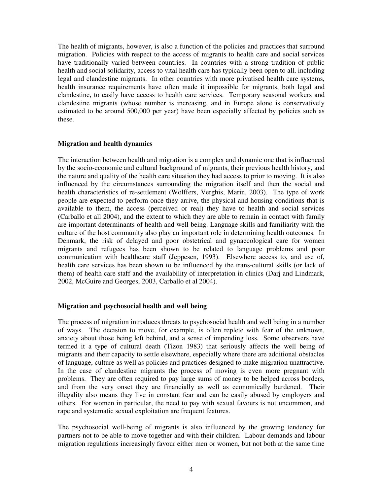The health of migrants, however, is also a function of the policies and practices that surround migration. Policies with respect to the access of migrants to health care and social services have traditionally varied between countries. In countries with a strong tradition of public health and social solidarity, access to vital health care has typically been open to all, including legal and clandestine migrants. In other countries with more privatised health care systems, health insurance requirements have often made it impossible for migrants, both legal and clandestine, to easily have access to health care services. Temporary seasonal workers and clandestine migrants (whose number is increasing, and in Europe alone is conservatively estimated to be around 500,000 per year) have been especially affected by policies such as these.

#### **Migration and health dynamics**

The interaction between health and migration is a complex and dynamic one that is influenced by the socio-economic and cultural background of migrants, their previous health history, and the nature and quality of the health care situation they had access to prior to moving. It is also influenced by the circumstances surrounding the migration itself and then the social and health characteristics of re-settlement (Wolffers, Verghis, Marin, 2003). The type of work people are expected to perform once they arrive, the physical and housing conditions that is available to them, the access (perceived or real) they have to health and social services (Carballo et all 2004), and the extent to which they are able to remain in contact with family are important determinants of health and well being. Language skills and familiarity with the culture of the host community also play an important role in determining health outcomes. In Denmark, the risk of delayed and poor obstetrical and gynaecological care for women migrants and refugees has been shown to be related to language problems and poor communication with healthcare staff (Jeppesen, 1993). Elsewhere access to, and use of, health care services has been shown to be influenced by the trans-cultural skills (or lack of them) of health care staff and the availability of interpretation in clinics (Darj and Lindmark, 2002, McGuire and Georges, 2003, Carballo et al 2004).

# **Migration and psychosocial health and well being**

The process of migration introduces threats to psychosocial health and well being in a number of ways. The decision to move, for example, is often replete with fear of the unknown, anxiety about those being left behind, and a sense of impending loss. Some observers have termed it a type of cultural death (Tizon 1983) that seriously affects the well being of migrants and their capacity to settle elsewhere, especially where there are additional obstacles of language, culture as well as policies and practices designed to make migration unattractive. In the case of clandestine migrants the process of moving is even more pregnant with problems. They are often required to pay large sums of money to be helped across borders, and from the very onset they are financially as well as economically burdened. Their illegality also means they live in constant fear and can be easily abused by employers and others. For women in particular, the need to pay with sexual favours is not uncommon, and rape and systematic sexual exploitation are frequent features.

The psychosocial well-being of migrants is also influenced by the growing tendency for partners not to be able to move together and with their children. Labour demands and labour migration regulations increasingly favour either men or women, but not both at the same time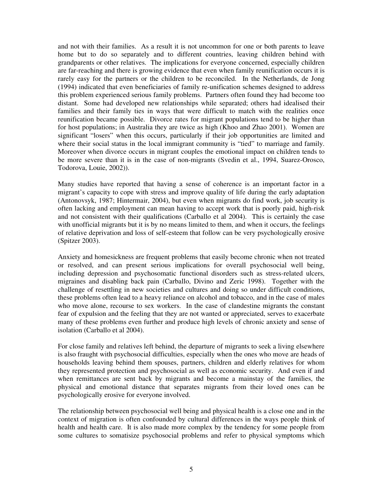and not with their families. As a result it is not uncommon for one or both parents to leave home but to do so separately and to different countries, leaving children behind with grandparents or other relatives. The implications for everyone concerned, especially children are far-reaching and there is growing evidence that even when family reunification occurs it is rarely easy for the partners or the children to be reconciled. In the Netherlands, de Jong (1994) indicated that even beneficiaries of family re-unification schemes designed to address this problem experienced serious family problems. Partners often found they had become too distant. Some had developed new relationships while separated; others had idealised their families and their family ties in ways that were difficult to match with the realities once reunification became possible. Divorce rates for migrant populations tend to be higher than for host populations; in Australia they are twice as high (Khoo and Zhao 2001). Women are significant "losers" when this occurs, particularly if their job opportunities are limited and where their social status in the local immigrant community is "tied" to marriage and family. Moreover when divorce occurs in migrant couples the emotional impact on children tends to be more severe than it is in the case of non-migrants (Svedin et al., 1994, Suarez-Orosco, Todorova, Louie, 2002)).

Many studies have reported that having a sense of coherence is an important factor in a migrant's capacity to cope with stress and improve quality of life during the early adaptation (Antonovsyk, 1987; Hintermair, 2004), but even when migrants do find work, job security is often lacking and employment can mean having to accept work that is poorly paid, high-risk and not consistent with their qualifications (Carballo et al 2004). This is certainly the case with unofficial migrants but it is by no means limited to them, and when it occurs, the feelings of relative deprivation and loss of self-esteem that follow can be very psychologically erosive (Spitzer 2003).

Anxiety and homesickness are frequent problems that easily become chronic when not treated or resolved, and can present serious implications for overall psychosocial well being, including depression and psychosomatic functional disorders such as stress-related ulcers, migraines and disabling back pain (Carballo, Divino and Zeric 1998). Together with the challenge of resettling in new societies and cultures and doing so under difficult conditions, these problems often lead to a heavy reliance on alcohol and tobacco, and in the case of males who move alone, recourse to sex workers. In the case of clandestine migrants the constant fear of expulsion and the feeling that they are not wanted or appreciated, serves to exacerbate many of these problems even further and produce high levels of chronic anxiety and sense of isolation (Carballo et al 2004).

For close family and relatives left behind, the departure of migrants to seek a living elsewhere is also fraught with psychosocial difficulties, especially when the ones who move are heads of households leaving behind them spouses, partners, children and elderly relatives for whom they represented protection and psychosocial as well as economic security. And even if and when remittances are sent back by migrants and become a mainstay of the families, the physical and emotional distance that separates migrants from their loved ones can be psychologically erosive for everyone involved.

The relationship between psychosocial well being and physical health is a close one and in the context of migration is often confounded by cultural differences in the ways people think of health and health care. It is also made more complex by the tendency for some people from some cultures to somatisize psychosocial problems and refer to physical symptoms which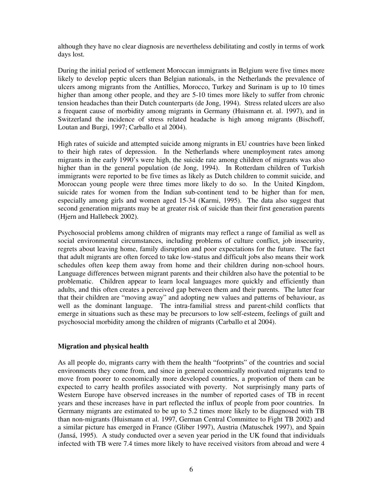although they have no clear diagnosis are nevertheless debilitating and costly in terms of work days lost.

During the initial period of settlement Moroccan immigrants in Belgium were five times more likely to develop peptic ulcers than Belgian nationals, in the Netherlands the prevalence of ulcers among migrants from the Antillies, Morocco, Turkey and Surinam is up to 10 times higher than among other people, and they are 5-10 times more likely to suffer from chronic tension headaches than their Dutch counterparts (de Jong, 1994). Stress related ulcers are also a frequent cause of morbidity among migrants in Germany (Huismann et. al. 1997), and in Switzerland the incidence of stress related headache is high among migrants (Bischoff, Loutan and Burgi, 1997; Carballo et al 2004).

High rates of suicide and attempted suicide among migrants in EU countries have been linked to their high rates of depression. In the Netherlands where unemployment rates among migrants in the early 1990's were high, the suicide rate among children of migrants was also higher than in the general population (de Jong, 1994). In Rotterdam children of Turkish immigrants were reported to be five times as likely as Dutch children to commit suicide, and Moroccan young people were three times more likely to do so. In the United Kingdom, suicide rates for women from the Indian sub-continent tend to be higher than for men, especially among girls and women aged 15-34 (Karmi, 1995). The data also suggest that second generation migrants may be at greater risk of suicide than their first generation parents (Hjern and Hallebeck 2002).

Psychosocial problems among children of migrants may reflect a range of familial as well as social environmental circumstances, including problems of culture conflict, job insecurity, regrets about leaving home, family disruption and poor expectations for the future. The fact that adult migrants are often forced to take low-status and difficult jobs also means their work schedules often keep them away from home and their children during non-school hours. Language differences between migrant parents and their children also have the potential to be problematic. Children appear to learn local languages more quickly and efficiently than adults, and this often creates a perceived gap between them and their parents. The latter fear that their children are "moving away" and adopting new values and patterns of behaviour, as well as the dominant language. The intra-familial stress and parent-child conflicts that emerge in situations such as these may be precursors to low self-esteem, feelings of guilt and psychosocial morbidity among the children of migrants (Carballo et al 2004).

# **Migration and physical health**

As all people do, migrants carry with them the health "footprints" of the countries and social environments they come from, and since in general economically motivated migrants tend to move from poorer to economically more developed countries, a proportion of them can be expected to carry health profiles associated with poverty. Not surprisingly many parts of Western Europe have observed increases in the number of reported cases of TB in recent years and these increases have in part reflected the influx of people from poor countries. In Germany migrants are estimated to be up to 5.2 times more likely to be diagnosed with TB than non-migrants (Huismann et al. 1997, German Central Committee to Fight TB 2002) and a similar picture has emerged in France (Gliber 1997), Austria (Matuschek 1997), and Spain (Jansá, 1995). A study conducted over a seven year period in the UK found that individuals infected with TB were 7.4 times more likely to have received visitors from abroad and were 4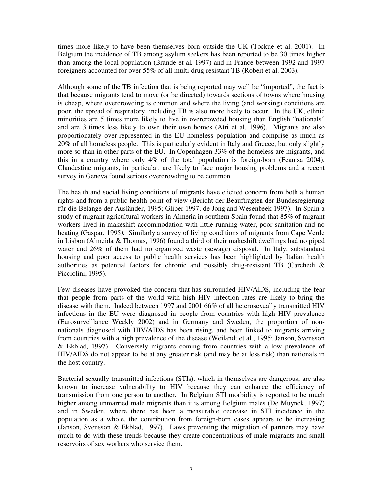times more likely to have been themselves born outside the UK (Tockue et al. 2001). In Belgium the incidence of TB among asylum seekers has been reported to be 30 times higher than among the local population (Brande et al. 1997) and in France between 1992 and 1997 foreigners accounted for over 55% of all multi-drug resistant TB (Robert et al. 2003).

Although some of the TB infection that is being reported may well be "imported", the fact is that because migrants tend to move (or be directed) towards sections of towns where housing is cheap, where overcrowding is common and where the living (and working) conditions are poor, the spread of respiratory, including TB is also more likely to occur. In the UK, ethnic minorities are 5 times more likely to live in overcrowded housing than English "nationals" and are 3 times less likely to own their own homes (Atri et al. 1996). Migrants are also proportionately over-represented in the EU homeless population and comprise as much as 20% of all homeless people. This is particularly evident in Italy and Greece, but only slightly more so than in other parts of the EU. In Copenhagen 33% of the homeless are migrants, and this in a country where only 4% of the total population is foreign-born (Feantsa 2004). Clandestine migrants, in particular, are likely to face major housing problems and a recent survey in Geneva found serious overcrowding to be common.

The health and social living conditions of migrants have elicited concern from both a human rights and from a public health point of view (Bericht der Beauftragten der Bundesregierung für die Belange der Ausländer, 1995; Gliber 1997; de Jong and Wesenbeek 1997). In Spain a study of migrant agricultural workers in Almeria in southern Spain found that 85% of migrant workers lived in makeshift accommodation with little running water, poor sanitation and no heating (Gaspar, 1995*).* Similarly a survey of living conditions of migrants from Cape Verde in Lisbon (Almeida & Thomas, 1996) found a third of their makeshift dwellings had no piped water and 26% of them had no organized waste (sewage) disposal. In Italy, substandard housing and poor access to public health services has been highlighted by Italian health authorities as potential factors for chronic and possibly drug-resistant TB (Carchedi & Picciolini, 1995).

Few diseases have provoked the concern that has surrounded HIV/AIDS, including the fear that people from parts of the world with high HIV infection rates are likely to bring the disease with them. Indeed between 1997 and 2001 66% of all heterosexually transmitted HIV infections in the EU were diagnosed in people from countries with high HIV prevalence (Eurosurveillance Weekly 2002) and in Germany and Sweden, the proportion of nonnationals diagnosed with HIV/AIDS has been rising, and been linked to migrants arriving from countries with a high prevalence of the disease (Weilandt et al., 1995; Janson, Svensson & Ekblad, 1997). Conversely migrants coming from countries with a low prevalence of HIV/AIDS do not appear to be at any greater risk (and may be at less risk) than nationals in the host country.

Bacterial sexually transmitted infections (STIs), which in themselves are dangerous, are also known to increase vulnerability to HIV because they can enhance the efficiency of transmission from one person to another. In Belgium STI morbidity is reported to be much higher among unmarried male migrants than it is among Belgium males (De Muynck, 1997) and in Sweden, where there has been a measurable decrease in STI incidence in the population as a whole, the contribution from foreign-born cases appears to be increasing (Janson, Svensson & Ekblad, 1997). Laws preventing the migration of partners may have much to do with these trends because they create concentrations of male migrants and small reservoirs of sex workers who service them.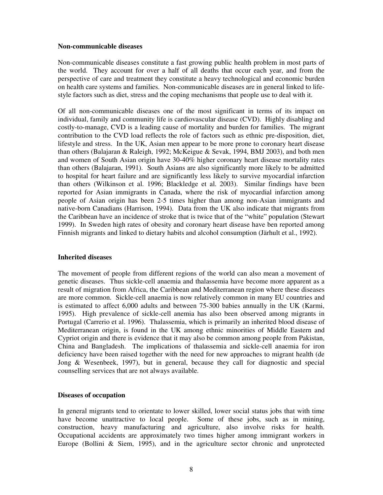#### **Non-communicable diseases**

Non-communicable diseases constitute a fast growing public health problem in most parts of the world. They account for over a half of all deaths that occur each year, and from the perspective of care and treatment they constitute a heavy technological and economic burden on health care systems and families. Non-communicable diseases are in general linked to lifestyle factors such as diet, stress and the coping mechanisms that people use to deal with it.

Of all non-communicable diseases one of the most significant in terms of its impact on individual, family and community life is cardiovascular disease (CVD). Highly disabling and costly-to-manage, CVD is a leading cause of mortality and burden for families. The migrant contribution to the CVD load reflects the role of factors such as ethnic pre-disposition, diet, lifestyle and stress. In the UK, Asian men appear to be more prone to coronary heart disease than others (Balajaran & Raleigh, 1992; McKeigue & Sevak, 1994, BMJ 2003), and both men and women of South Asian origin have 30-40% higher coronary heart disease mortality rates than others (Balajaran, 1991). South Asians are also significantly more likely to be admitted to hospital for heart failure and are significantly less likely to survive myocardial infarction than others (Wilkinson et al. 1996; Blackledge et al. 2003). Similar findings have been reported for Asian immigrants in Canada, where the risk of myocardial infarction among people of Asian origin has been 2-5 times higher than among non-Asian immigrants and native-born Canadians (Harrison, 1994). Data from the UK also indicate that migrants from the Caribbean have an incidence of stroke that is twice that of the "white" population (Stewart 1999). In Sweden high rates of obesity and coronary heart disease have ben reported among Finnish migrants and linked to dietary habits and alcohol consumption (Järhult et al., 1992).

# **Inherited diseases**

The movement of people from different regions of the world can also mean a movement of genetic diseases. Thus sickle-cell anaemia and thalassemia have become more apparent as a result of migration from Africa, the Caribbean and Mediterranean region where these diseases are more common. Sickle-cell anaemia is now relatively common in many EU countries and is estimated to affect 6,000 adults and between 75-300 babies annually in the UK (Karmi, 1995). High prevalence of sickle-cell anemia has also been observed among migrants in Portugal (Carrerio et al. 1996). Thalassemia, which is primarily an inherited blood disease of Mediterranean origin, is found in the UK among ethnic minorities of Middle Eastern and Cypriot origin and there is evidence that it may also be common among people from Pakistan, China and Bangladesh. The implications of thalassemia and sickle-cell anaemia for iron deficiency have been raised together with the need for new approaches to migrant health (de Jong & Wesenbeek, 1997), but in general, because they call for diagnostic and special counselling services that are not always available.

# **Diseases of occupation**

In general migrants tend to orientate to lower skilled, lower social status jobs that with time have become unattractive to local people. Some of these jobs, such as in mining, construction, heavy manufacturing and agriculture, also involve risks for health. Occupational accidents are approximately two times higher among immigrant workers in Europe (Bollini & Siem, 1995), and in the agriculture sector chronic and unprotected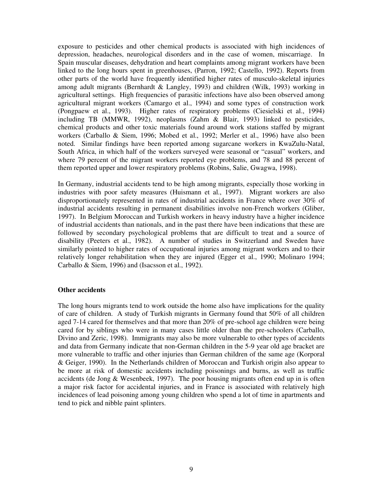exposure to pesticides and other chemical products is associated with high incidences of depression, headaches, neurological disorders and in the case of women, miscarriage. In Spain muscular diseases, dehydration and heart complaints among migrant workers have been linked to the long hours spent in greenhouses, (Parron, 1992; Castello, 1992). Reports from other parts of the world have frequently identified higher rates of musculo-skeletal injuries among adult migrants (Bernhardt & Langley, 1993) and children (Wilk, 1993) working in agricultural settings. High frequencies of parasitic infections have also been observed among agricultural migrant workers (Camargo et al., 1994) and some types of construction work (Pongpaew et al., 1993). Higher rates of respiratory problems (Ciesielski et al., 1994) including TB (MMWR, 1992), neoplasms (Zahm & Blair, 1993) linked to pesticides, chemical products and other toxic materials found around work stations staffed by migrant workers (Carballo & Siem, 1996; Mobed et al., 1992; Merler et al., 1996) have also been noted. Similar findings have been reported among sugarcane workers in KwaZulu-Natal, South Africa, in which half of the workers surveyed were seasonal or "casual" workers, and where 79 percent of the migrant workers reported eye problems, and 78 and 88 percent of them reported upper and lower respiratory problems (Robins, Salie, Gwagwa, 1998).

In Germany, industrial accidents tend to be high among migrants, especially those working in industries with poor safety measures (Huismann et al., 1997). Migrant workers are also disproportionately represented in rates of industrial accidents in France where over 30% of industrial accidents resulting in permanent disabilities involve non-French workers (Gliber, 1997). In Belgium Moroccan and Turkish workers in heavy industry have a higher incidence of industrial accidents than nationals, and in the past there have been indications that these are followed by secondary psychological problems that are difficult to treat and a source of disability (Peeters et al., 1982). A number of studies in Switzerland and Sweden have similarly pointed to higher rates of occupational injuries among migrant workers and to their relatively longer rehabilitation when they are injured (Egger et al., 1990; Molinaro 1994; Carballo & Siem, 1996) and (Isacsson et al., 1992).

#### **Other accidents**

The long hours migrants tend to work outside the home also have implications for the quality of care of children. A study of Turkish migrants in Germany found that 50% of all children aged 7-14 cared for themselves and that more than 20% of pre-school age children were being cared for by siblings who were in many cases little older than the pre-schoolers (Carballo, Divino and Zeric, 1998). Immigrants may also be more vulnerable to other types of accidents and data from Germany indicate that non-German children in the 5-9 year old age bracket are more vulnerable to traffic and other injuries than German children of the same age (Korporal & Geiger, 1990). In the Netherlands children of Moroccan and Turkish origin also appear to be more at risk of domestic accidents including poisonings and burns, as well as traffic accidents (de Jong & Wesenbeek, 1997). The poor housing migrants often end up in is often a major risk factor for accidental injuries, and in France is associated with relatively high incidences of lead poisoning among young children who spend a lot of time in apartments and tend to pick and nibble paint splinters.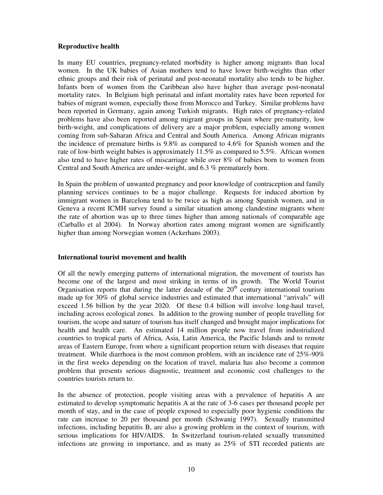# **Reproductive health**

In many EU countries, pregnancy-related morbidity is higher among migrants than local women. In the UK babies of Asian mothers tend to have lower birth-weights than other ethnic groups and their risk of perinatal and post-neonatal mortality also tends to be higher. Infants born of women from the Caribbean also have higher than average post-neonatal mortality rates. In Belgium high perinatal and infant mortality rates have been reported for babies of migrant women, especially those from Morocco and Turkey. Similar problems have been reported in Germany, again among Turkish migrants. High rates of pregnancy-related problems have also been reported among migrant groups in Spain where pre-maturity, low birth-weight, and complications of delivery are a major problem, especially among women coming from sub-Saharan Africa and Central and South America. Among African migrants the incidence of premature births is 9.8% as compared to 4.6% for Spanish women and the rate of low-birth weight babies is approximately 11.5% as compared to 5.5%. African women also tend to have higher rates of miscarriage while over 8% of babies born to women from Central and South America are under-weight, and 6.3 % prematurely born.

In Spain the problem of unwanted pregnancy and poor knowledge of contraception and family planning services continues to be a major challenge. Requests for induced abortion by immigrant women in Barcelona tend to be twice as high as among Spanish women, and in Geneva a recent ICMH survey found a similar situation among clandestine migrants where the rate of abortion was up to three times higher than among nationals of comparable age (Carballo et al 2004). In Norway abortion rates among migrant women are significantly higher than among Norwegian women (Ackerhans 2003).

# **International tourist movement and health**

Of all the newly emerging patterns of international migration, the movement of tourists has become one of the largest and most striking in terms of its growth. The World Tourist Organisation reports that during the latter decade of the  $20<sup>th</sup>$  century international tourism made up for 30% of global service industries and estimated that international "arrivals" will exceed 1.56 billion by the year 2020. Of these 0.4 billion will involve long-haul travel, including across ecological zones. In addition to the growing number of people travelling for tourism, the scope and nature of tourism has itself changed and brought major implications for health and health care. An estimated 14 million people now travel from industrialized countries to tropical parts of Africa, Asia, Latin America, the Pacific Islands and to remote areas of Eastern Europe, from where a significant proportion return with diseases that require treatment. While diarrhoea is the most common problem, with an incidence rate of 25%-90% in the first weeks depending on the location of travel, malaria has also become a common problem that presents serious diagnostic, treatment and economic cost challenges to the countries tourists return to.

In the absence of protection, people visiting areas with a prevalence of hepatitis A are estimated to develop symptomatic hepatitis A at the rate of 3-6 cases per thousand people per month of stay, and in the case of people exposed to especially poor hygienic conditions the rate can increase to 20 per thousand per month (Schwanig 1997). Sexually transmitted infections, including hepatitis B, are also a growing problem in the context of tourism, with serious implications for HIV/AIDS. In Switzerland tourism-related sexually transmitted infections are growing in importance, and as many as 25% of STI recorded patients are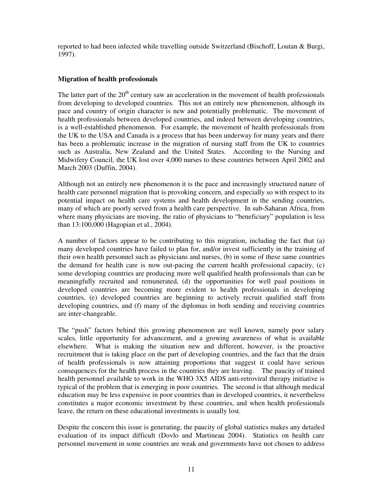reported to had been infected while travelling outside Switzerland (Bischoff, Loutan & Burgi, 1997).

# **Migration of health professionals**

The latter part of the  $20<sup>th</sup>$  century saw an acceleration in the movement of health professionals from developing to developed countries. This not an entirely new phenomenon, although its pace and country of origin character is new and potentially problematic. The movement of health professionals between developed countries, and indeed between developing countries, is a well-established phenomenon. For example, the movement of health professionals from the UK to the USA and Canada is a process that has been underway for many years and there has been a problematic increase in the migration of nursing staff from the UK to countries such as Australia, New Zealand and the United States. According to the Nursing and Midwifery Council, the UK lost over 4,000 nurses to these countries between April 2002 and March 2003 (Duffin, 2004).

Although not an entirely new phenomenon it is the pace and increasingly structured nature of health care personnel migration that is provoking concern, and especially so with respect to its potential impact on health care systems and health development in the sending countries, many of which are poorly served from a health care perspective. In sub-Saharan Africa, from where many physicians are moving, the ratio of physicians to "beneficiary" population is less than 13:100,000 (Hagopian et al., 2004).

A number of factors appear to be contributing to this migration, including the fact that (a) many developed countries have failed to plan for, and/or invest sufficiently in the training of their own health personnel such as physicians and nurses, (b) in some of these same countries the demand for health care is now out-pacing the current health professional capacity, (c) some developing countries are producing more well qualified health professionals than can be meaningfully recruited and remunerated, (d) the opportunities for well paid positions in developed countries are becoming more evident to health professionals in developing countries, (e) developed countries are beginning to actively recruit qualified staff from developing countries, and (f) many of the diplomas in both sending and receiving countries are inter-changeable.

The "push" factors behind this growing phenomenon are well known, namely poor salary scales, little opportunity for advancement, and a growing awareness of what is available elsewhere. What is making the situation new and different, however, is the proactive recruitment that is taking place on the part of developing countries, and the fact that the drain of health professionals is now attaining proportions that suggest it could have serious consequences for the health process in the countries they are leaving. The paucity of trained health personnel available to work in the WHO 3X5 AIDS anti-retroviral therapy initiative is typical of the problem that is emerging in poor countries. The second is that although medical education may be less expensive in poor countries than in developed countries, it nevertheless constitutes a major economic investment by these countries, and when health professionals leave, the return on these educational investments is usually lost.

Despite the concern this issue is generating, the paucity of global statistics makes any detailed evaluation of its impact difficult (Dovlo and Martineau 2004). Statistics on health care personnel movement in some countries are weak and governments have not chosen to address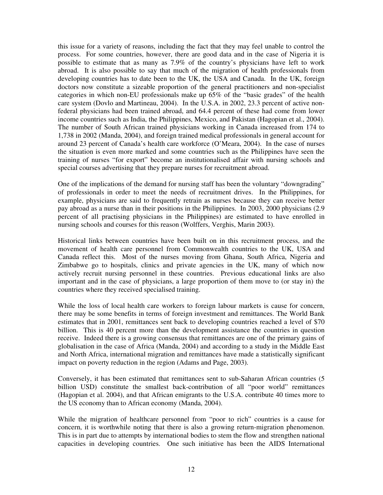this issue for a variety of reasons, including the fact that they may feel unable to control the process. For some countries, however, there are good data and in the case of Nigeria it is possible to estimate that as many as 7.9% of the country's physicians have left to work abroad. It is also possible to say that much of the migration of health professionals from developing countries has to date been to the UK, the USA and Canada. In the UK, foreign doctors now constitute a sizeable proportion of the general practitioners and non-specialist categories in which non-EU professionals make up 65% of the "basic grades" of the health care system (Dovlo and Martineau, 2004). In the U.S.A. in 2002, 23.3 percent of active nonfederal physicians had been trained abroad, and 64.4 percent of these had come from lower income countries such as India, the Philippines, Mexico, and Pakistan (Hagopian et al., 2004). The number of South African trained physicians working in Canada increased from 174 to 1,738 in 2002 (Manda, 2004), and foreign trained medical professionals in general account for around 23 percent of Canada's health care workforce (O'Meara, 2004). In the case of nurses the situation is even more marked and some countries such as the Philippines have seen the training of nurses "for export" become an institutionalised affair with nursing schools and special courses advertising that they prepare nurses for recruitment abroad.

One of the implications of the demand for nursing staff has been the voluntary "downgrading" of professionals in order to meet the needs of recruitment drives. In the Philippines, for example, physicians are said to frequently retrain as nurses because they can receive better pay abroad as a nurse than in their positions in the Philippines. In 2003, 2000 physicians (2.9 percent of all practising physicians in the Philippines) are estimated to have enrolled in nursing schools and courses for this reason (Wolffers, Verghis, Marin 2003).

Historical links between countries have been built on in this recruitment process, and the movement of health care personnel from Commonwealth countries to the UK, USA and Canada reflect this. Most of the nurses moving from Ghana, South Africa, Nigeria and Zimbabwe go to hospitals, clinics and private agencies in the UK, many of which now actively recruit nursing personnel in these countries. Previous educational links are also important and in the case of physicians, a large proportion of them move to (or stay in) the countries where they received specialised training.

While the loss of local health care workers to foreign labour markets is cause for concern, there may be some benefits in terms of foreign investment and remittances. The World Bank estimates that in 2001, remittances sent back to developing countries reached a level of \$70 billion. This is 40 percent more than the development assistance the countries in question receive. Indeed there is a growing consensus that remittances are one of the primary gains of globalisation in the case of Africa (Manda, 2004) and according to a study in the Middle East and North Africa, international migration and remittances have made a statistically significant impact on poverty reduction in the region (Adams and Page, 2003).

Conversely, it has been estimated that remittances sent to sub-Saharan African countries (5 billion USD) constitute the smallest back-contribution of all "poor world" remittances (Hagopian et al. 2004), and that African emigrants to the U.S.A. contribute 40 times more to the US economy than to African economy (Manda, 2004).

While the migration of healthcare personnel from "poor to rich" countries is a cause for concern, it is worthwhile noting that there is also a growing return-migration phenomenon. This is in part due to attempts by international bodies to stem the flow and strengthen national capacities in developing countries. One such initiative has been the AIDS International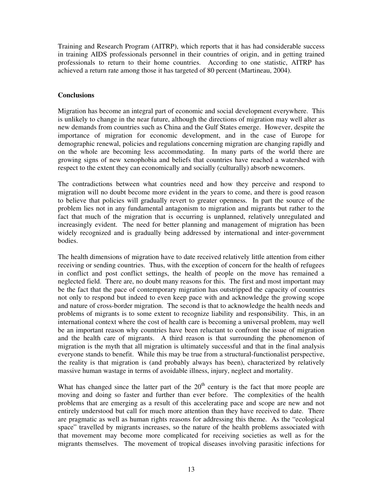Training and Research Program (AITRP), which reports that it has had considerable success in training AIDS professionals personnel in their countries of origin, and in getting trained professionals to return to their home countries. According to one statistic, AITRP has achieved a return rate among those it has targeted of 80 percent (Martineau, 2004).

# **Conclusions**

Migration has become an integral part of economic and social development everywhere. This is unlikely to change in the near future, although the directions of migration may well alter as new demands from countries such as China and the Gulf States emerge. However, despite the importance of migration for economic development, and in the case of Europe for demographic renewal, policies and regulations concerning migration are changing rapidly and on the whole are becoming less accommodating. In many parts of the world there are growing signs of new xenophobia and beliefs that countries have reached a watershed with respect to the extent they can economically and socially (culturally) absorb newcomers.

The contradictions between what countries need and how they perceive and respond to migration will no doubt become more evident in the years to come, and there is good reason to believe that policies will gradually revert to greater openness. In part the source of the problem lies not in any fundamental antagonism to migration and migrants but rather to the fact that much of the migration that is occurring is unplanned, relatively unregulated and increasingly evident. The need for better planning and management of migration has been widely recognized and is gradually being addressed by international and inter-government bodies.

The health dimensions of migration have to date received relatively little attention from either receiving or sending countries. Thus, with the exception of concern for the health of refugees in conflict and post conflict settings, the health of people on the move has remained a neglected field. There are, no doubt many reasons for this. The first and most important may be the fact that the pace of contemporary migration has outstripped the capacity of countries not only to respond but indeed to even keep pace with and acknowledge the growing scope and nature of cross-border migration. The second is that to acknowledge the health needs and problems of migrants is to some extent to recognize liability and responsibility. This, in an international context where the cost of health care is becoming a universal problem, may well be an important reason why countries have been reluctant to confront the issue of migration and the health care of migrants. A third reason is that surrounding the phenomenon of migration is the myth that all migration is ultimately successful and that in the final analysis everyone stands to benefit. While this may be true from a structural-functionalist perspective, the reality is that migration is (and probably always has been), characterized by relatively massive human wastage in terms of avoidable illness, injury, neglect and mortality.

What has changed since the latter part of the  $20<sup>th</sup>$  century is the fact that more people are moving and doing so faster and further than ever before. The complexities of the health problems that are emerging as a result of this accelerating pace and scope are new and not entirely understood but call for much more attention than they have received to date. There are pragmatic as well as human rights reasons for addressing this theme. As the "ecological space" travelled by migrants increases, so the nature of the health problems associated with that movement may become more complicated for receiving societies as well as for the migrants themselves. The movement of tropical diseases involving parasitic infections for